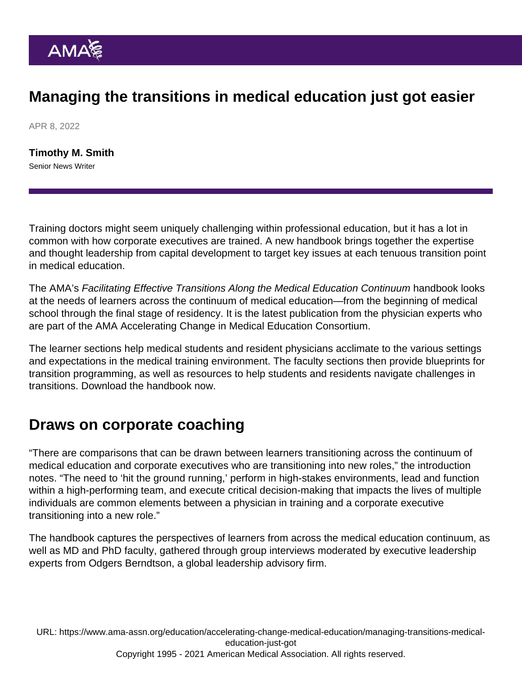## Managing the transitions in medical education just got easier

APR 8, 2022

[Timothy M. Smith](https://www.ama-assn.org/news-leadership-viewpoints/authors-news-leadership-viewpoints/timothy-m-smith) Senior News Writer

Training doctors might seem uniquely challenging within professional education, but it has a lot in common with how corporate executives are trained. A new handbook brings together the expertise and thought leadership from capital development to target key issues at each tenuous transition point in medical education.

The AMA's Facilitating Effective Transitions Along the Medical Education Continuum handbook looks at the needs of learners across the continuum of medical education—from the beginning of medical school through the final stage of residency. It is the latest publication from the physician experts who are part of the [AMA Accelerating Change in Medical Education Consortium.](https://www.ama-assn.org/education/accelerating-change-medical-education/teaching-health-systems-science)

The learner sections help medical students and resident physicians acclimate to the various settings and expectations in the medical training environment. The faculty sections then provide blueprints for transition programming, as well as resources to help students and residents navigate challenges in transitions. [Download the handbook now](https://cloud.e.ama-assn.org/21-1682-New-Med-Ed-ebook).

## Draws on corporate coaching

"There are comparisons that can be drawn between learners transitioning across the continuum of medical education and corporate executives who are transitioning into new roles," the introduction notes. "The need to 'hit the ground running,' perform in high-stakes environments, lead and function within a high-performing team, and execute critical decision-making that impacts the lives of multiple individuals are common elements between a physician in training and a corporate executive transitioning into a new role."

The handbook captures the perspectives of learners from across the medical education continuum, as well as MD and PhD faculty, gathered through group interviews moderated by executive leadership experts from Odgers Berndtson, a global leadership advisory firm.

URL: [https://www.ama-assn.org/education/accelerating-change-medical-education/managing-transitions-medical](https://www.ama-assn.org/education/accelerating-change-medical-education/managing-transitions-medical-education-just-got)[education-just-got](https://www.ama-assn.org/education/accelerating-change-medical-education/managing-transitions-medical-education-just-got) Copyright 1995 - 2021 American Medical Association. All rights reserved.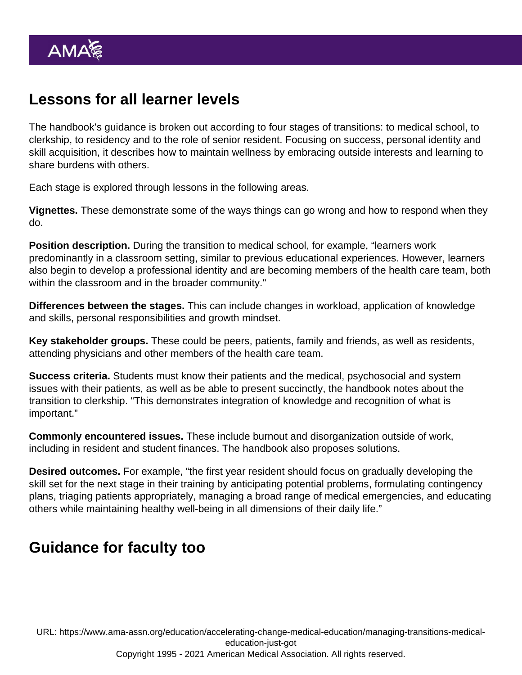## Lessons for all learner levels

The handbook's guidance is broken out according to four stages of transitions: to medical school, to clerkship, to residency and to the role of senior resident. Focusing on success, personal identity and skill acquisition, it describes how to maintain wellness by embracing outside interests and learning to share burdens with others.

Each stage is explored through lessons in the following areas.

Vignettes. These demonstrate some of the ways things can go wrong and how to respond when they do.

Position description. During the transition to medical school, for example, "learners work predominantly in a classroom setting, similar to previous educational experiences. However, learners also begin to develop a professional identity and are becoming members of the health care team, both within the classroom and in the broader community."

Differences between the stages. This can include changes in workload, application of knowledge and skills, personal responsibilities and growth mindset.

Key stakeholder groups. These could be peers, patients, family and friends, as well as residents, attending physicians and other members of the health care team.

Success criteria. Students must know their patients and the medical, psychosocial and system issues with their patients, as well as be able to present succinctly, the handbook notes about the transition to clerkship. "This demonstrates integration of knowledge and recognition of what is important."

Commonly encountered issues. These include [burnout](https://www.ama-assn.org/topics/physician-burnout) and disorganization outside of work, including [in resident and student finances](https://www.ama-assn.org/residents-students/resident-student-finance). The handbook also proposes solutions.

Desired outcomes. For example, "the first year resident should focus on gradually developing the skill set for the next stage in their training by anticipating potential problems, formulating contingency plans, triaging patients appropriately, managing a broad range of medical emergencies, and educating others while maintaining healthy well-being in all dimensions of their daily life."

## Guidance for faculty too

URL: [https://www.ama-assn.org/education/accelerating-change-medical-education/managing-transitions-medical](https://www.ama-assn.org/education/accelerating-change-medical-education/managing-transitions-medical-education-just-got)[education-just-got](https://www.ama-assn.org/education/accelerating-change-medical-education/managing-transitions-medical-education-just-got) Copyright 1995 - 2021 American Medical Association. All rights reserved.